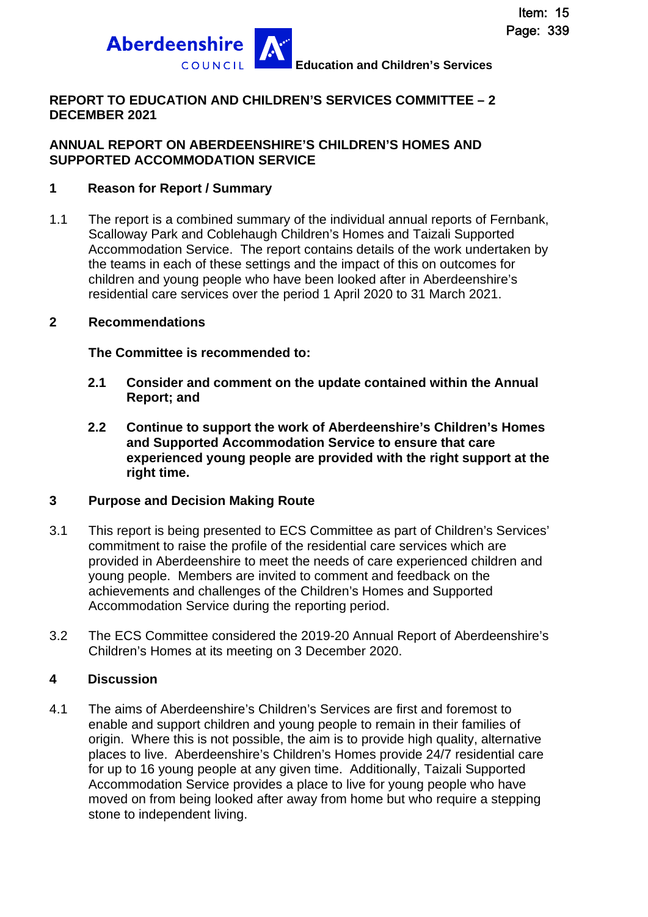

### **REPORT TO EDUCATION AND CHILDREN'S SERVICES COMMITTEE – 2 DECEMBER 2021**

#### **ANNUAL REPORT ON ABERDEENSHIRE'S CHILDREN'S HOMES AND SUPPORTED ACCOMMODATION SERVICE**

### **1 Reason for Report / Summary**

1.1 The report is a combined summary of the individual annual reports of Fernbank, Scalloway Park and Coblehaugh Children's Homes and Taizali Supported Accommodation Service. The report contains details of the work undertaken by the teams in each of these settings and the impact of this on outcomes for children and young people who have been looked after in Aberdeenshire's residential care services over the period 1 April 2020 to 31 March 2021.

#### **2 Recommendations**

**The Committee is recommended to:** 

- **2.1 Consider and comment on the update contained within the Annual Report; and**
- **2.2 Continue to support the work of Aberdeenshire's Children's Homes and Supported Accommodation Service to ensure that care experienced young people are provided with the right support at the right time.**

#### **3 Purpose and Decision Making Route**

- 3.1 This report is being presented to ECS Committee as part of Children's Services' commitment to raise the profile of the residential care services which are provided in Aberdeenshire to meet the needs of care experienced children and young people. Members are invited to comment and feedback on the achievements and challenges of the Children's Homes and Supported Accommodation Service during the reporting period.
- 3.2 The ECS Committee considered the 2019-20 Annual Report of Aberdeenshire's Children's Homes at its meeting on 3 December 2020.

### **4 Discussion**

4.1 The aims of Aberdeenshire's Children's Services are first and foremost to enable and support children and young people to remain in their families of origin. Where this is not possible, the aim is to provide high quality, alternative places to live. Aberdeenshire's Children's Homes provide 24/7 residential care for up to 16 young people at any given time. Additionally, Taizali Supported Accommodation Service provides a place to live for young people who have moved on from being looked after away from home but who require a stepping stone to independent living.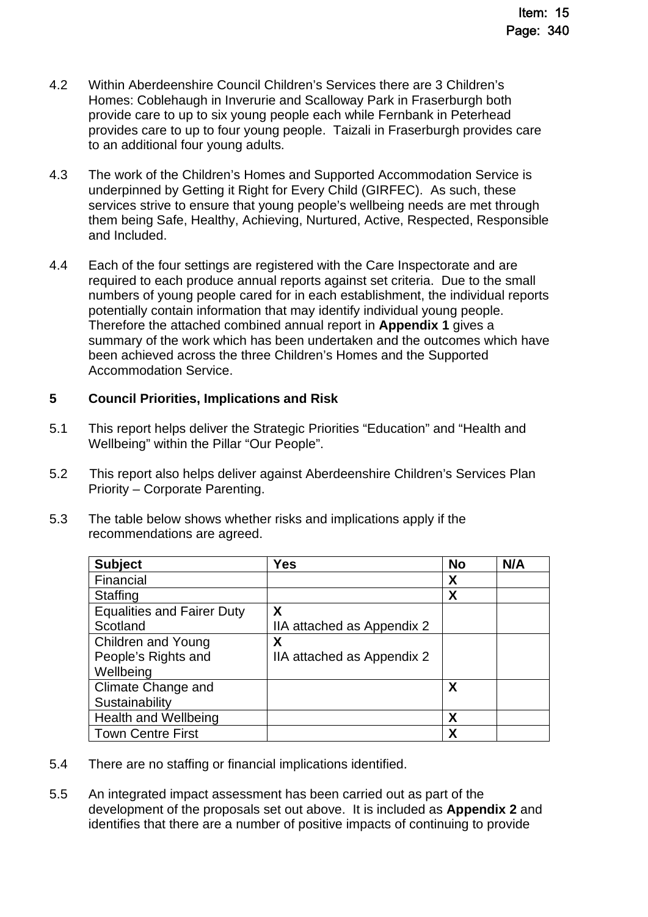- 4.2 Within Aberdeenshire Council Children's Services there are 3 Children's Homes: Coblehaugh in Inverurie and Scalloway Park in Fraserburgh both provide care to up to six young people each while Fernbank in Peterhead provides care to up to four young people. Taizali in Fraserburgh provides care to an additional four young adults.
- 4.3 The work of the Children's Homes and Supported Accommodation Service is underpinned by Getting it Right for Every Child (GIRFEC). As such, these services strive to ensure that young people's wellbeing needs are met through them being Safe, Healthy, Achieving, Nurtured, Active, Respected, Responsible and Included.
- 4.4 Each of the four settings are registered with the Care Inspectorate and are required to each produce annual reports against set criteria. Due to the small numbers of young people cared for in each establishment, the individual reports potentially contain information that may identify individual young people. Therefore the attached combined annual report in **Appendix 1** gives a summary of the work which has been undertaken and the outcomes which have been achieved across the three Children's Homes and the Supported Accommodation Service.

### **5 Council Priorities, Implications and Risk**

- 5.1 This report helps deliver the Strategic Priorities "Education" and "Health and Wellbeing" within the Pillar "Our People".
- 5.2 This report also helps deliver against Aberdeenshire Children's Services Plan Priority – Corporate Parenting.
- 5.3 The table below shows whether risks and implications apply if the recommendations are agreed.

| <b>Subject</b>                    | Yes                        | <b>No</b> | N/A |
|-----------------------------------|----------------------------|-----------|-----|
| Financial                         |                            | X         |     |
| <b>Staffing</b>                   |                            | X         |     |
| <b>Equalities and Fairer Duty</b> | X                          |           |     |
| Scotland                          | IIA attached as Appendix 2 |           |     |
| <b>Children and Young</b>         | χ                          |           |     |
| People's Rights and               | IIA attached as Appendix 2 |           |     |
| Wellbeing                         |                            |           |     |
| Climate Change and                |                            | X         |     |
| Sustainability                    |                            |           |     |
| Health and Wellbeing              |                            | X         |     |
| <b>Town Centre First</b>          |                            | χ         |     |

- 5.4 There are no staffing or financial implications identified.
- 5.5 An integrated impact assessment has been carried out as part of the development of the proposals set out above. It is included as **Appendix 2** and identifies that there are a number of positive impacts of continuing to provide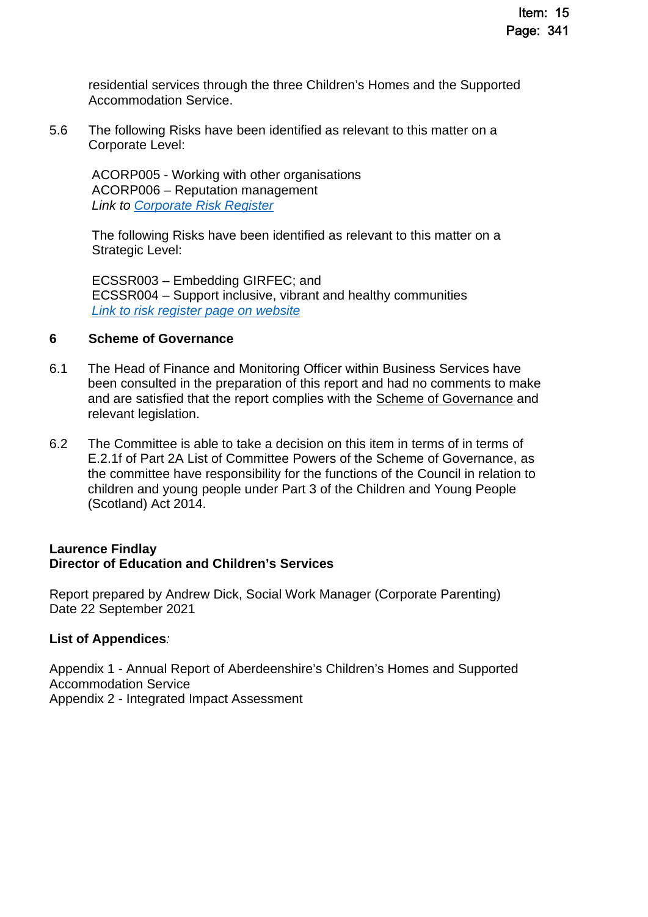residential services through the three Children's Homes and the Supported Accommodation Service.

5.6 The following Risks have been identified as relevant to this matter on a Corporate Level:

ACORP005 - Working with other organisations ACORP006 – Reputation management *Link to [Corporate Risk Register](https://www.aberdeenshire.gov.uk/media/26308/corporaterisks.pdf)* 

The following Risks have been identified as relevant to this matter on a Strategic Level:

ECSSR003 – Embedding GIRFEC; and ECSSR004 – Support inclusive, vibrant and healthy communities *[Link to risk register page on website](https://www.aberdeenshire.gov.uk/council-and-democracy/about-us/plans-and-reports/)*

#### **6 Scheme of Governance**

- 6.1 The Head of Finance and Monitoring Officer within Business Services have been consulted in the preparation of this report and had no comments to make and are satisfied that the report complies with the [Scheme of Governance](https://www.aberdeenshire.gov.uk/council-and-democracy/scheme-of-governance/) and relevant legislation.
- 6.2 The Committee is able to take a decision on this item in terms of in terms of E.2.1f of Part 2A List of Committee Powers of the Scheme of Governance, as the committee have responsibility for the functions of the Council in relation to children and young people under Part 3 of the Children and Young People (Scotland) Act 2014.

#### **Laurence Findlay Director of Education and Children's Services**

Report prepared by Andrew Dick, Social Work Manager (Corporate Parenting) Date 22 September 2021

#### **List of Appendices***:*

Appendix 1 - Annual Report of Aberdeenshire's Children's Homes and Supported Accommodation Service Appendix 2 - Integrated Impact Assessment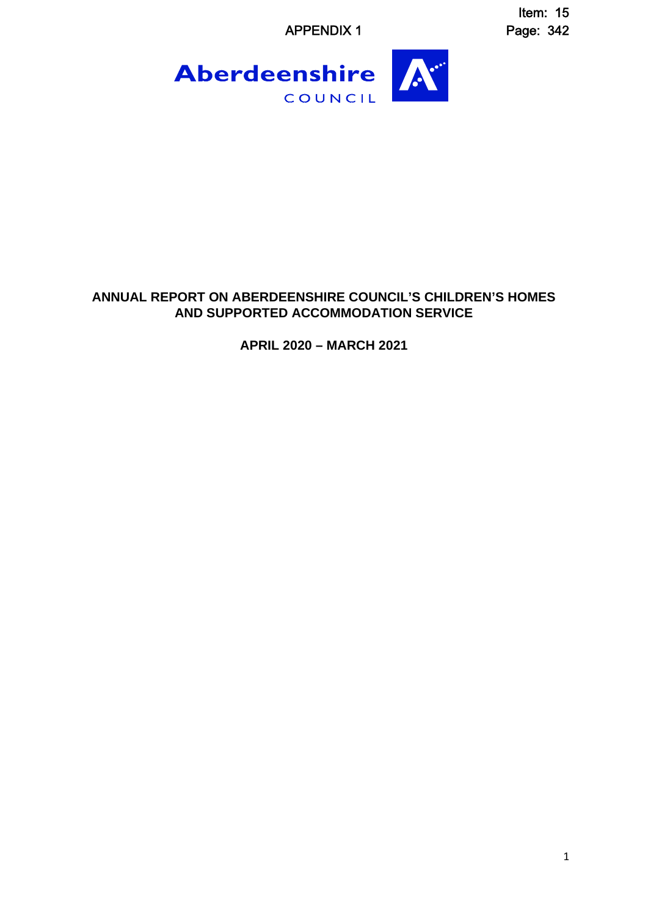Item: 15<br>APPENDIX 1 Item: 15 Page: 342



## **ANNUAL REPORT ON ABERDEENSHIRE COUNCIL'S CHILDREN'S HOMES AND SUPPORTED ACCOMMODATION SERVICE**

**APRIL 2020 – MARCH 2021**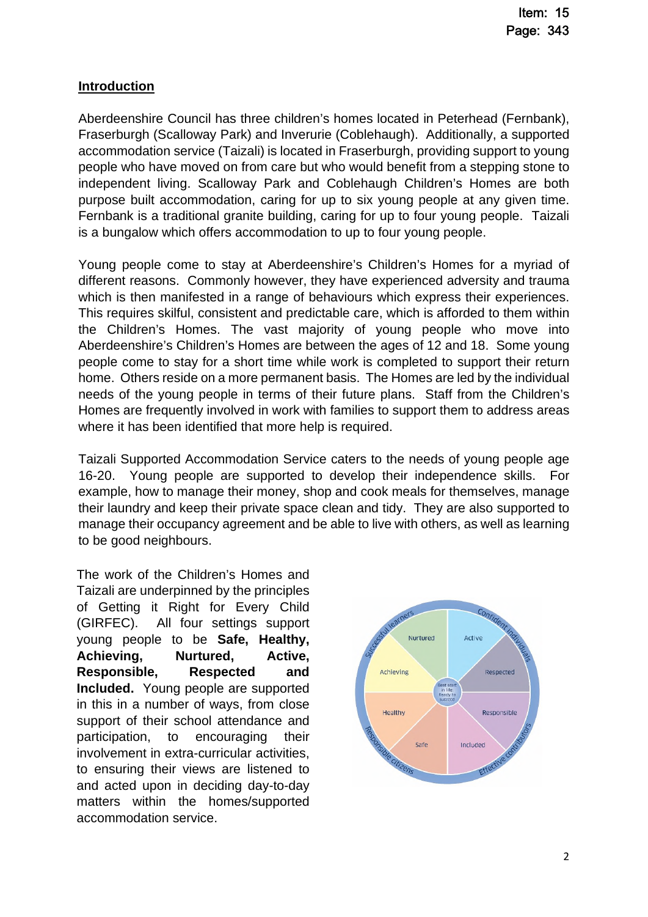### **Introduction**

Aberdeenshire Council has three children's homes located in Peterhead (Fernbank), Fraserburgh (Scalloway Park) and Inverurie (Coblehaugh). Additionally, a supported accommodation service (Taizali) is located in Fraserburgh, providing support to young people who have moved on from care but who would benefit from a stepping stone to independent living. Scalloway Park and Coblehaugh Children's Homes are both purpose built accommodation, caring for up to six young people at any given time. Fernbank is a traditional granite building, caring for up to four young people. Taizali is a bungalow which offers accommodation to up to four young people.

Young people come to stay at Aberdeenshire's Children's Homes for a myriad of different reasons. Commonly however, they have experienced adversity and trauma which is then manifested in a range of behaviours which express their experiences. This requires skilful, consistent and predictable care, which is afforded to them within the Children's Homes. The vast majority of young people who move into Aberdeenshire's Children's Homes are between the ages of 12 and 18. Some young people come to stay for a short time while work is completed to support their return home. Others reside on a more permanent basis. The Homes are led by the individual needs of the young people in terms of their future plans. Staff from the Children's Homes are frequently involved in work with families to support them to address areas where it has been identified that more help is required.

Taizali Supported Accommodation Service caters to the needs of young people age 16-20. Young people are supported to develop their independence skills. For example, how to manage their money, shop and cook meals for themselves, manage their laundry and keep their private space clean and tidy. They are also supported to manage their occupancy agreement and be able to live with others, as well as learning to be good neighbours.

The work of the Children's Homes and Taizali are underpinned by the principles of Getting it Right for Every Child (GIRFEC). All four settings support young people to be **Safe, Healthy, Achieving, Nurtured, Active, Responsible, Respected and Included.** Young people are supported in this in a number of ways, from close support of their school attendance and participation, to encouraging their involvement in extra-curricular activities, to ensuring their views are listened to and acted upon in deciding day-to-day matters within the homes/supported accommodation service.

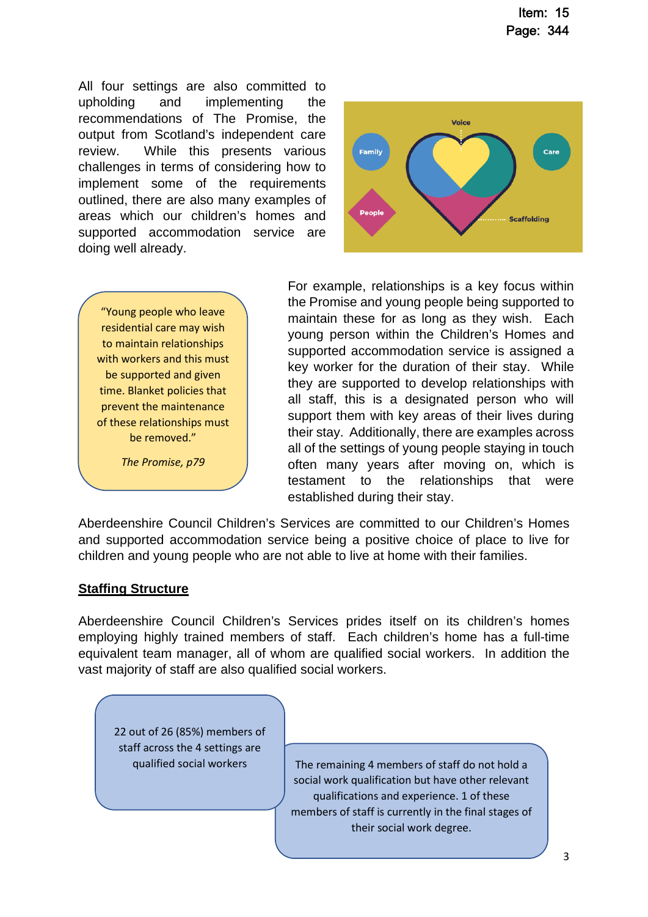All four settings are also committed to upholding and implementing the recommendations of The Promise, the output from Scotland's independent care review. While this presents various challenges in terms of considering how to implement some of the requirements outlined, there are also many examples of areas which our children's homes and supported accommodation service are doing well already.



"Young people who leave residential care may wish to maintain relationships with workers and this must be supported and given time. Blanket policies that prevent the maintenance of these relationships must be removed."

*The Promise, p79* 

For example, relationships is a key focus within the Promise and young people being supported to maintain these for as long as they wish. Each young person within the Children's Homes and supported accommodation service is assigned a key worker for the duration of their stay. While they are supported to develop relationships with all staff, this is a designated person who will support them with key areas of their lives during their stay. Additionally, there are examples across all of the settings of young people staying in touch often many years after moving on, which is testament to the relationships that were established during their stay.

Aberdeenshire Council Children's Services are committed to our Children's Homes and supported accommodation service being a positive choice of place to live for children and young people who are not able to live at home with their families.

#### **Staffing Structure**

Aberdeenshire Council Children's Services prides itself on its children's homes employing highly trained members of staff. Each children's home has a full-time equivalent team manager, all of whom are qualified social workers. In addition the vast majority of staff are also qualified social workers.

22 out of 26 (85%) members of staff across the 4 settings are qualified social workers

The remaining 4 members of staff do not hold a social work qualification but have other relevant qualifications and experience. 1 of these members of staff is currently in the final stages of their social work degree.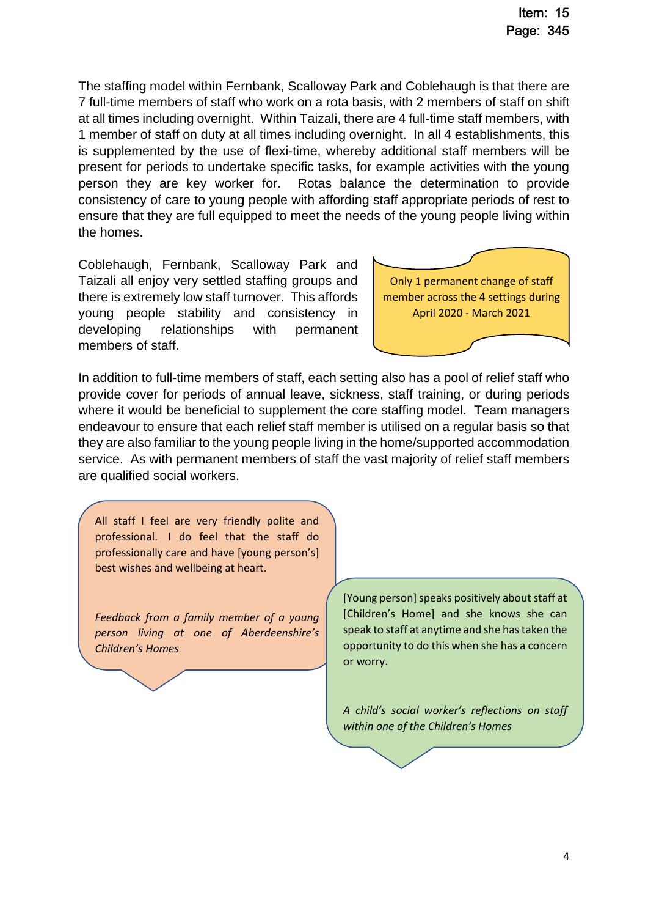The staffing model within Fernbank, Scalloway Park and Coblehaugh is that there are 7 full-time members of staff who work on a rota basis, with 2 members of staff on shift at all times including overnight. Within Taizali, there are 4 full-time staff members, with 1 member of staff on duty at all times including overnight. In all 4 establishments, this is supplemented by the use of flexi-time, whereby additional staff members will be present for periods to undertake specific tasks, for example activities with the young person they are key worker for. Rotas balance the determination to provide consistency of care to young people with affording staff appropriate periods of rest to ensure that they are full equipped to meet the needs of the young people living within the homes.

Coblehaugh, Fernbank, Scalloway Park and Taizali all enjoy very settled staffing groups and there is extremely low staff turnover. This affords young people stability and consistency in developing relationships with permanent members of staff.



In addition to full-time members of staff, each setting also has a pool of relief staff who provide cover for periods of annual leave, sickness, staff training, or during periods where it would be beneficial to supplement the core staffing model. Team managers endeavour to ensure that each relief staff member is utilised on a regular basis so that they are also familiar to the young people living in the home/supported accommodation service. As with permanent members of staff the vast majority of relief staff members are qualified social workers.

All staff I feel are very friendly polite and professional. I do feel that the staff do professionally care and have [young person's] best wishes and wellbeing at heart.

*Feedback from a family member of a young person living at one of Aberdeenshire's Children's Homes* 

[Young person] speaks positively about staff at [Children's Home] and she knows she can speak to staff at anytime and she has taken the opportunity to do this when she has a concern or worry.

*A child's social worker's reflections on staff within one of the Children's Homes*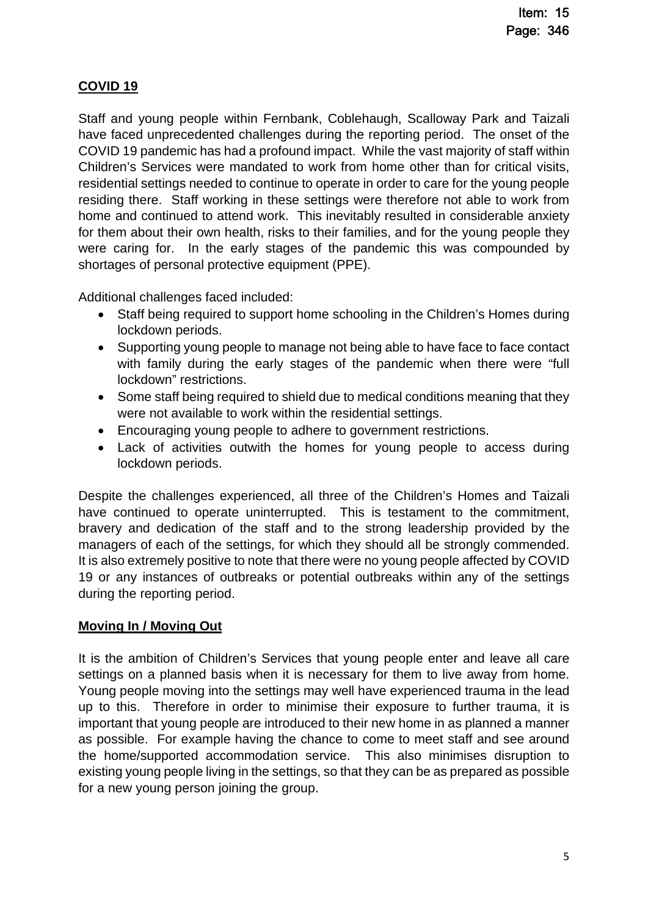## **COVID 19**

Staff and young people within Fernbank, Coblehaugh, Scalloway Park and Taizali have faced unprecedented challenges during the reporting period. The onset of the COVID 19 pandemic has had a profound impact. While the vast majority of staff within Children's Services were mandated to work from home other than for critical visits, residential settings needed to continue to operate in order to care for the young people residing there. Staff working in these settings were therefore not able to work from home and continued to attend work. This inevitably resulted in considerable anxiety for them about their own health, risks to their families, and for the young people they were caring for. In the early stages of the pandemic this was compounded by shortages of personal protective equipment (PPE).

Additional challenges faced included:

- Staff being required to support home schooling in the Children's Homes during lockdown periods.
- Supporting young people to manage not being able to have face to face contact with family during the early stages of the pandemic when there were "full lockdown" restrictions.
- Some staff being required to shield due to medical conditions meaning that they were not available to work within the residential settings.
- Encouraging young people to adhere to government restrictions.
- Lack of activities outwith the homes for young people to access during lockdown periods.

Despite the challenges experienced, all three of the Children's Homes and Taizali have continued to operate uninterrupted. This is testament to the commitment, bravery and dedication of the staff and to the strong leadership provided by the managers of each of the settings, for which they should all be strongly commended. It is also extremely positive to note that there were no young people affected by COVID 19 or any instances of outbreaks or potential outbreaks within any of the settings during the reporting period.

### **Moving In / Moving Out**

It is the ambition of Children's Services that young people enter and leave all care settings on a planned basis when it is necessary for them to live away from home. Young people moving into the settings may well have experienced trauma in the lead up to this. Therefore in order to minimise their exposure to further trauma, it is important that young people are introduced to their new home in as planned a manner as possible. For example having the chance to come to meet staff and see around the home/supported accommodation service. This also minimises disruption to existing young people living in the settings, so that they can be as prepared as possible for a new young person joining the group.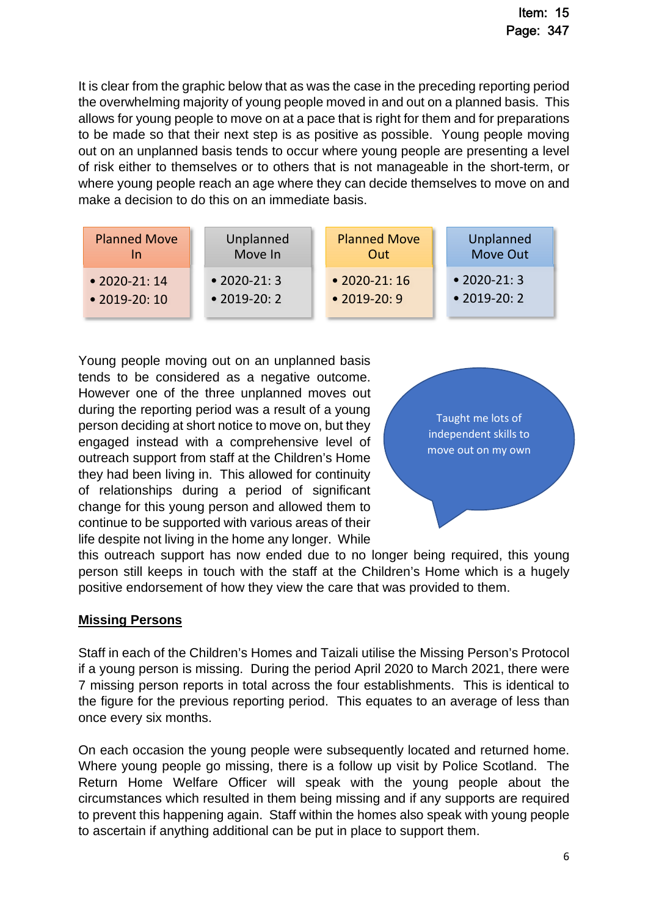It is clear from the graphic below that as was the case in the preceding reporting period the overwhelming majority of young people moved in and out on a planned basis. This allows for young people to move on at a pace that is right for them and for preparations to be made so that their next step is as positive as possible. Young people moving out on an unplanned basis tends to occur where young people are presenting a level of risk either to themselves or to others that is not manageable in the short-term, or where young people reach an age where they can decide themselves to move on and make a decision to do this on an immediate basis.

| <b>Planned Move</b>  | Unplanned            | <b>Planned Move</b>  | Unplanned            |
|----------------------|----------------------|----------------------|----------------------|
|                      | Move In              | Out                  | Move Out             |
| $\bullet$ 2020-21:14 | $\bullet$ 2020-21:3  | $\cdot$ 2020-21:16   | $\bullet$ 2020-21:3  |
| $\bullet$ 2019-20:10 | $\bullet$ 2019-20: 2 | $\bullet$ 2019-20: 9 | $\bullet$ 2019-20: 2 |

Young people moving out on an unplanned basis tends to be considered as a negative outcome. However one of the three unplanned moves out during the reporting period was a result of a young person deciding at short notice to move on, but they engaged instead with a comprehensive level of outreach support from staff at the Children's Home they had been living in. This allowed for continuity of relationships during a period of significant change for this young person and allowed them to continue to be supported with various areas of their life despite not living in the home any longer. While



this outreach support has now ended due to no longer being required, this young person still keeps in touch with the staff at the Children's Home which is a hugely positive endorsement of how they view the care that was provided to them.

### **Missing Persons**

Staff in each of the Children's Homes and Taizali utilise the Missing Person's Protocol if a young person is missing. During the period April 2020 to March 2021, there were 7 missing person reports in total across the four establishments. This is identical to the figure for the previous reporting period. This equates to an average of less than once every six months.

On each occasion the young people were subsequently located and returned home. Where young people go missing, there is a follow up visit by Police Scotland. The Return Home Welfare Officer will speak with the young people about the circumstances which resulted in them being missing and if any supports are required to prevent this happening again. Staff within the homes also speak with young people to ascertain if anything additional can be put in place to support them.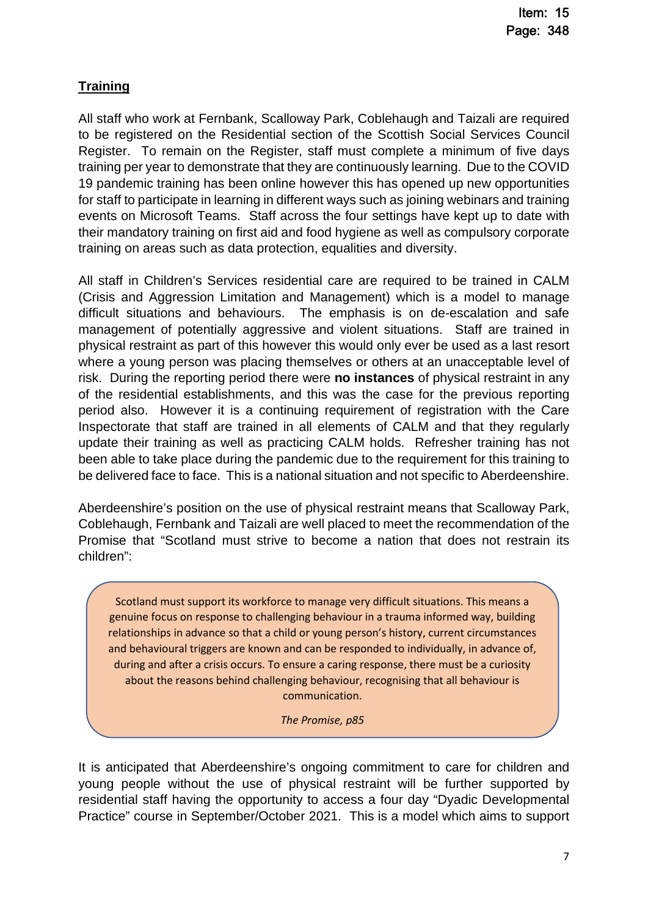## **Training**

All staff who work at Fernbank, Scalloway Park, Coblehaugh and Taizali are required to be registered on the Residential section of the Scottish Social Services Council Register. To remain on the Register, staff must complete a minimum of five days training per year to demonstrate that they are continuously learning. Due to the COVID 19 pandemic training has been online however this has opened up new opportunities for staff to participate in learning in different ways such as joining webinars and training events on Microsoft Teams. Staff across the four settings have kept up to date with their mandatory training on first aid and food hygiene as well as compulsory corporate training on areas such as data protection, equalities and diversity.

All staff in Children's Services residential care are required to be trained in CALM (Crisis and Aggression Limitation and Management) which is a model to manage difficult situations and behaviours. The emphasis is on de-escalation and safe management of potentially aggressive and violent situations. Staff are trained in physical restraint as part of this however this would only ever be used as a last resort where a young person was placing themselves or others at an unacceptable level of risk. During the reporting period there were **no instances** of physical restraint in any of the residential establishments, and this was the case for the previous reporting period also. However it is a continuing requirement of registration with the Care Inspectorate that staff are trained in all elements of CALM and that they regularly update their training as well as practicing CALM holds. Refresher training has not been able to take place during the pandemic due to the requirement for this training to be delivered face to face. This is a national situation and not specific to Aberdeenshire.

Aberdeenshire's position on the use of physical restraint means that Scalloway Park, Coblehaugh, Fernbank and Taizali are well placed to meet the recommendation of the Promise that "Scotland must strive to become a nation that does not restrain its children":

Scotland must support its workforce to manage very difficult situations. This means a genuine focus on response to challenging behaviour in a trauma informed way, building relationships in advance so that a child or young person's history, current circumstances and behavioural triggers are known and can be responded to individually, in advance of, during and after a crisis occurs. To ensure a caring response, there must be a curiosity about the reasons behind challenging behaviour, recognising that all behaviour is communication.

*The Promise, p85*

It is anticipated that Aberdeenshire's ongoing commitment to care for children and young people without the use of physical restraint will be further supported by residential staff having the opportunity to access a four day "Dyadic Developmental Practice" course in September/October 2021. This is a model which aims to support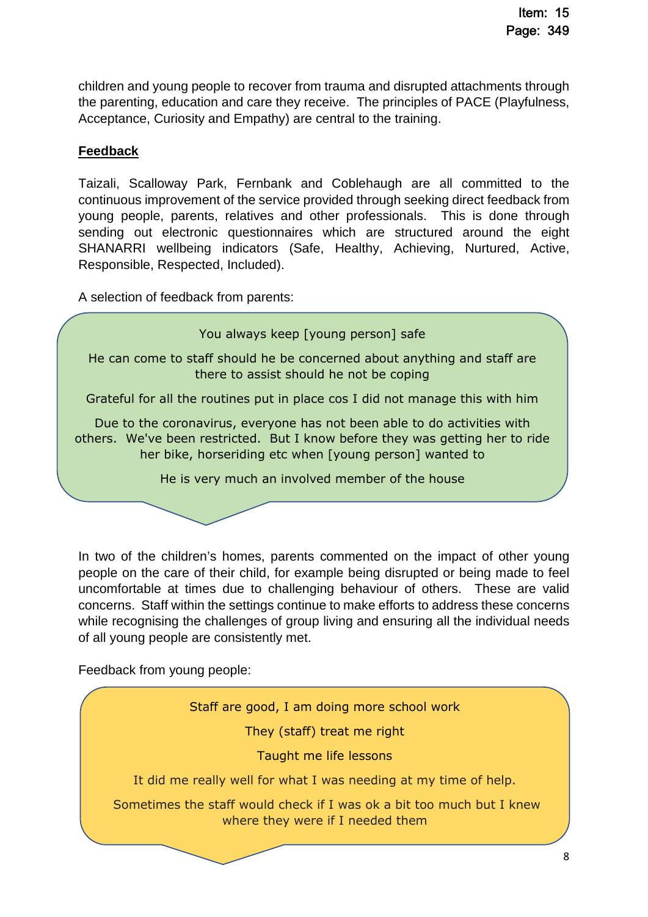children and young people to recover from trauma and disrupted attachments through the parenting, education and care they receive. The principles of PACE (Playfulness, Acceptance, Curiosity and Empathy) are central to the training.

## **Feedback**

Taizali, Scalloway Park, Fernbank and Coblehaugh are all committed to the continuous improvement of the service provided through seeking direct feedback from young people, parents, relatives and other professionals. This is done through sending out electronic questionnaires which are structured around the eight SHANARRI wellbeing indicators (Safe, Healthy, Achieving, Nurtured, Active, Responsible, Respected, Included).

A selection of feedback from parents:



In two of the children's homes, parents commented on the impact of other young people on the care of their child, for example being disrupted or being made to feel uncomfortable at times due to challenging behaviour of others. These are valid concerns. Staff within the settings continue to make efforts to address these concerns while recognising the challenges of group living and ensuring all the individual needs of all young people are consistently met.

Feedback from young people:

Staff are good, I am doing more school work

They (staff) treat me right

Taught me life lessons

It did me really well for what I was needing at my time of help.

 Sometimes the staff would check if I was ok a bit too much but I knew where they were if I needed them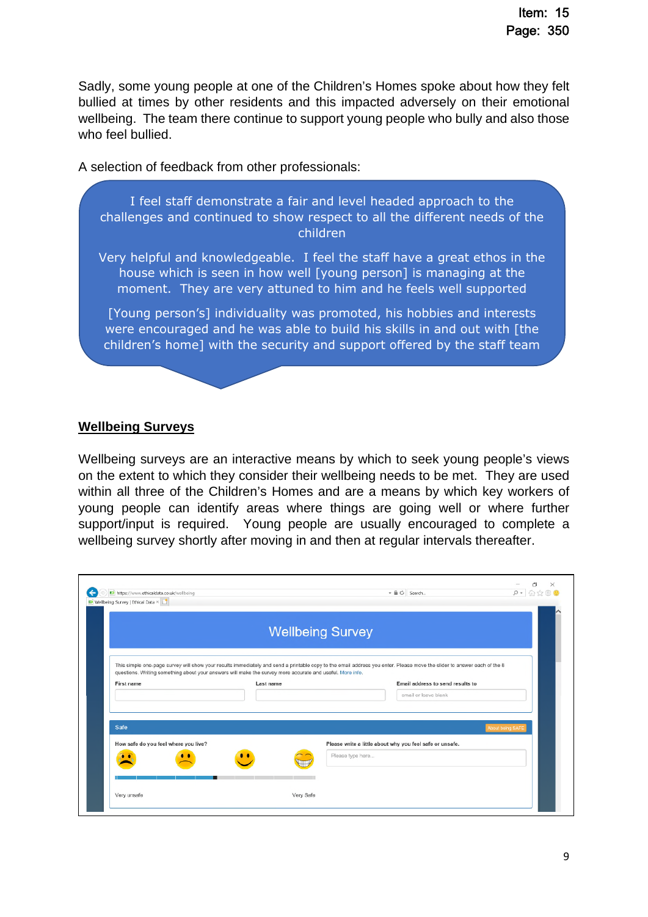Sadly, some young people at one of the Children's Homes spoke about how they felt bullied at times by other residents and this impacted adversely on their emotional wellbeing. The team there continue to support young people who bully and also those who feel bullied.

A selection of feedback from other professionals:

I feel staff demonstrate a fair and level headed approach to the challenges and continued to show respect to all the different needs of the children

Very helpful and knowledgeable. I feel the staff have a great ethos in the house which is seen in how well [young person] is managing at the moment. They are very attuned to him and he feels well supported

[Young person's] individuality was promoted, his hobbies and interests were encouraged and he was able to build his skills in and out with [the children's home] with the security and support offered by the staff team

#### **Wellbeing Surveys**

Wellbeing surveys are an interactive means by which to seek young people's views on the extent to which they consider their wellbeing needs to be met. They are used within all three of the Children's Homes and are a means by which key workers of young people can identify areas where things are going well or where further support/input is required. Young people are usually encouraged to complete a wellbeing survey shortly after moving in and then at regular intervals thereafter.

| <b>ED</b> https://www.ethicaldata.co.uk/wellbeing<br><sup>D</sup> Wellbeing Survey   Ethical Data $\times$                                                                                                                                                                                         |           |                                                                              | - A C   Search                                           | $\Omega$ -       |
|----------------------------------------------------------------------------------------------------------------------------------------------------------------------------------------------------------------------------------------------------------------------------------------------------|-----------|------------------------------------------------------------------------------|----------------------------------------------------------|------------------|
|                                                                                                                                                                                                                                                                                                    |           | <b>Wellbeing Survey</b>                                                      |                                                          |                  |
| This simple one-page survey will show your results immediately and send a printable copy to the email address you enter. Please move the slider to answer each of the 8<br>questions. Writing something about your answers will make the survey more accurate and useful. More info.<br>First name | Last name |                                                                              | Email address to send results to<br>email or leave blank |                  |
| Safe                                                                                                                                                                                                                                                                                               |           |                                                                              |                                                          | About being SAFE |
| How safe do you feel where you live?                                                                                                                                                                                                                                                               |           | Please write a little about why you feel safe or unsafe.<br>Please type here |                                                          |                  |
|                                                                                                                                                                                                                                                                                                    |           |                                                                              |                                                          |                  |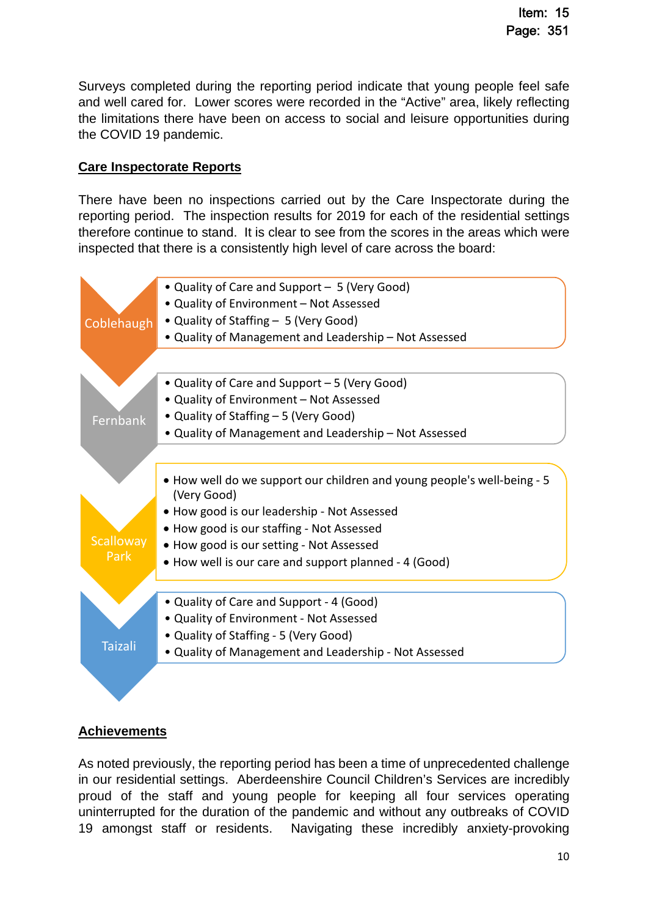Surveys completed during the reporting period indicate that young people feel safe and well cared for. Lower scores were recorded in the "Active" area, likely reflecting the limitations there have been on access to social and leisure opportunities during the COVID 19 pandemic.

### **Care Inspectorate Reports**

There have been no inspections carried out by the Care Inspectorate during the reporting period. The inspection results for 2019 for each of the residential settings therefore continue to stand. It is clear to see from the scores in the areas which were inspected that there is a consistently high level of care across the board:



## **Achievements**

As noted previously, the reporting period has been a time of unprecedented challenge in our residential settings. Aberdeenshire Council Children's Services are incredibly proud of the staff and young people for keeping all four services operating uninterrupted for the duration of the pandemic and without any outbreaks of COVID 19 amongst staff or residents. Navigating these incredibly anxiety-provoking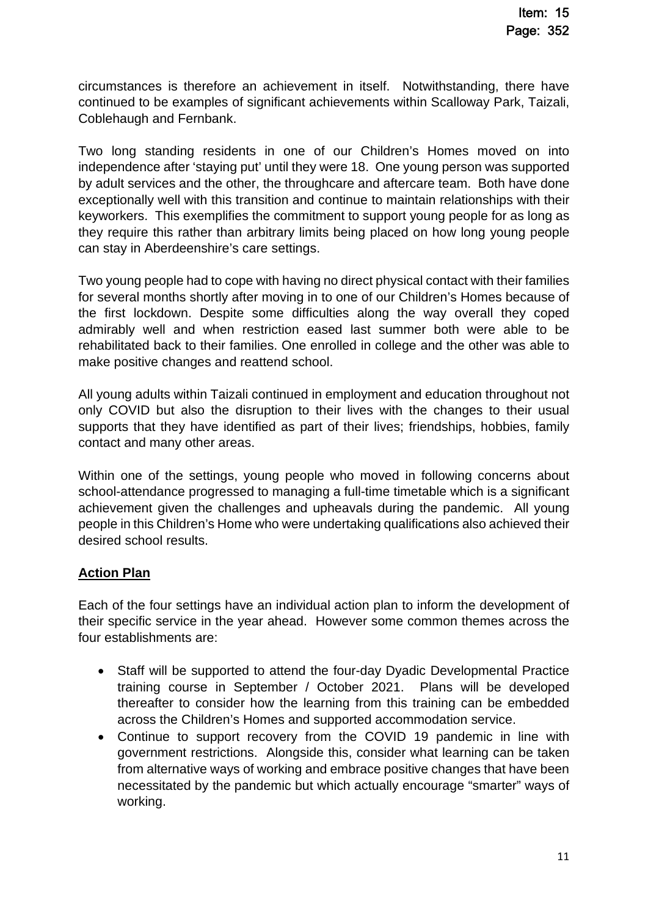circumstances is therefore an achievement in itself. Notwithstanding, there have continued to be examples of significant achievements within Scalloway Park, Taizali, Coblehaugh and Fernbank.

Two long standing residents in one of our Children's Homes moved on into independence after 'staying put' until they were 18. One young person was supported by adult services and the other, the throughcare and aftercare team. Both have done exceptionally well with this transition and continue to maintain relationships with their keyworkers. This exemplifies the commitment to support young people for as long as they require this rather than arbitrary limits being placed on how long young people can stay in Aberdeenshire's care settings.

Two young people had to cope with having no direct physical contact with their families for several months shortly after moving in to one of our Children's Homes because of the first lockdown. Despite some difficulties along the way overall they coped admirably well and when restriction eased last summer both were able to be rehabilitated back to their families. One enrolled in college and the other was able to make positive changes and reattend school.

All young adults within Taizali continued in employment and education throughout not only COVID but also the disruption to their lives with the changes to their usual supports that they have identified as part of their lives; friendships, hobbies, family contact and many other areas.

Within one of the settings, young people who moved in following concerns about school-attendance progressed to managing a full-time timetable which is a significant achievement given the challenges and upheavals during the pandemic. All young people in this Children's Home who were undertaking qualifications also achieved their desired school results.

## **Action Plan**

Each of the four settings have an individual action plan to inform the development of their specific service in the year ahead. However some common themes across the four establishments are:

- Staff will be supported to attend the four-day Dyadic Developmental Practice training course in September / October 2021. Plans will be developed thereafter to consider how the learning from this training can be embedded across the Children's Homes and supported accommodation service.
- Continue to support recovery from the COVID 19 pandemic in line with government restrictions. Alongside this, consider what learning can be taken from alternative ways of working and embrace positive changes that have been necessitated by the pandemic but which actually encourage "smarter" ways of working.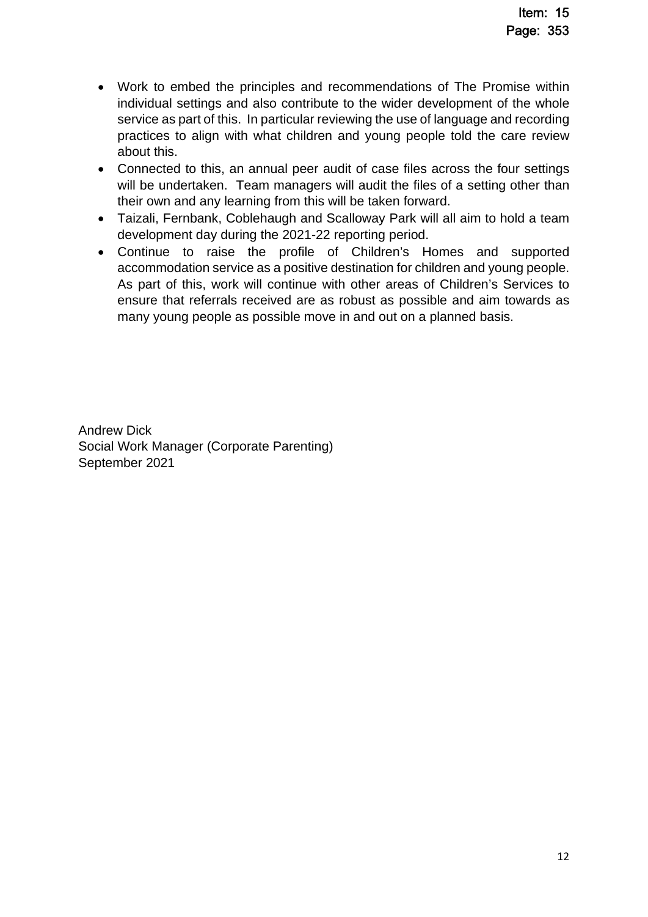- Work to embed the principles and recommendations of The Promise within individual settings and also contribute to the wider development of the whole service as part of this. In particular reviewing the use of language and recording practices to align with what children and young people told the care review about this.
- Connected to this, an annual peer audit of case files across the four settings will be undertaken. Team managers will audit the files of a setting other than their own and any learning from this will be taken forward.
- Taizali, Fernbank, Coblehaugh and Scalloway Park will all aim to hold a team development day during the 2021-22 reporting period.
- Continue to raise the profile of Children's Homes and supported accommodation service as a positive destination for children and young people. As part of this, work will continue with other areas of Children's Services to ensure that referrals received are as robust as possible and aim towards as many young people as possible move in and out on a planned basis.

Andrew Dick Social Work Manager (Corporate Parenting) September 2021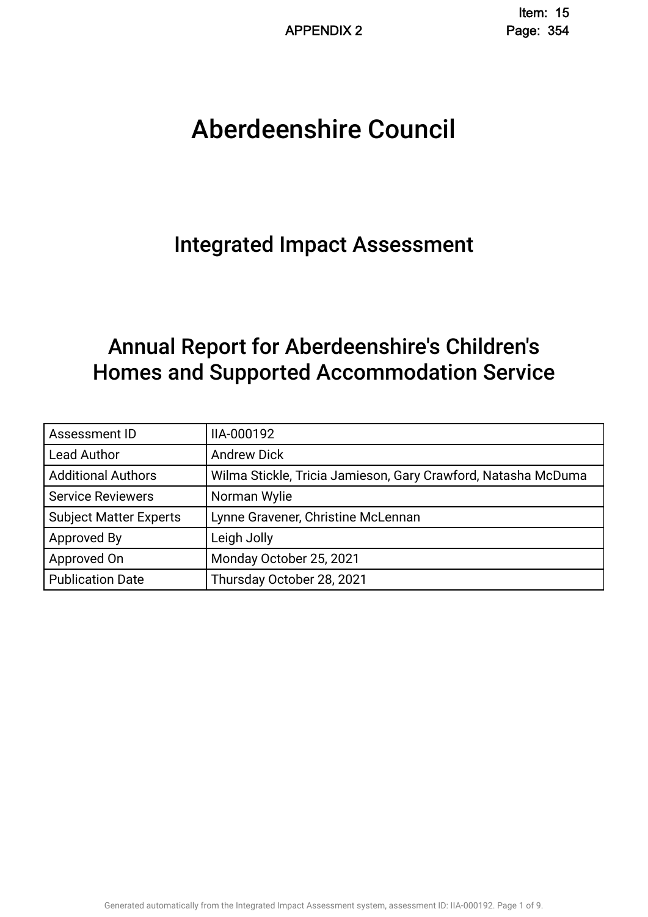# Aberdeenshire Council .

# Integrated Impact Assessment.

# Annual Report for Aberdeenshire's Children's Homes and Supported Accommodation Service.

| Assessment ID                 | IIA-000192                                                    |
|-------------------------------|---------------------------------------------------------------|
| <b>Lead Author</b>            | <b>Andrew Dick</b>                                            |
| <b>Additional Authors</b>     | Wilma Stickle, Tricia Jamieson, Gary Crawford, Natasha McDuma |
| <b>Service Reviewers</b>      | Norman Wylie                                                  |
| <b>Subject Matter Experts</b> | Lynne Gravener, Christine McLennan                            |
| Approved By                   | Leigh Jolly                                                   |
| Approved On                   | Monday October 25, 2021                                       |
| <b>Publication Date</b>       | Thursday October 28, 2021                                     |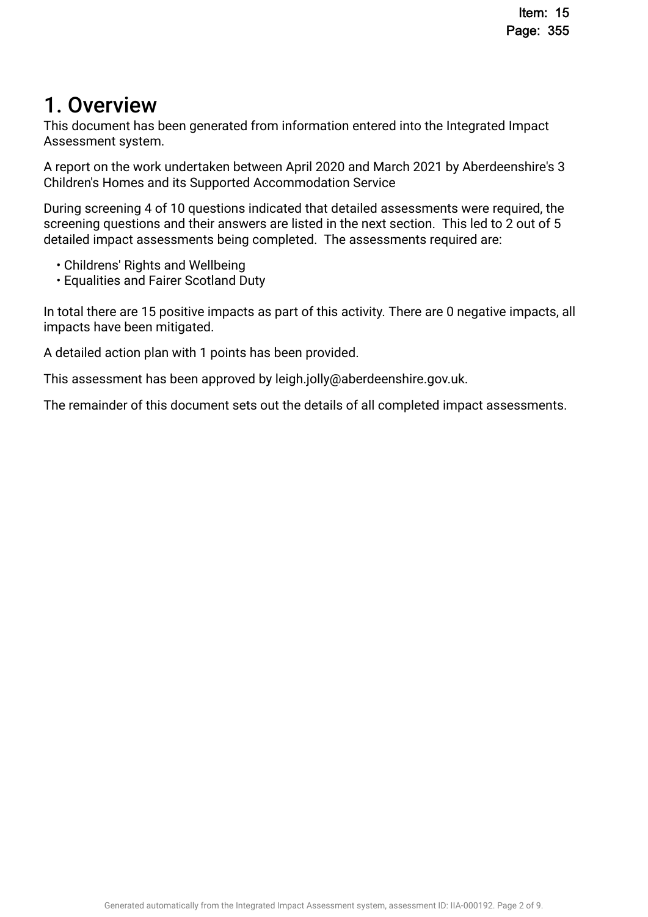# 1. Overview.

This document has been generated from information entered into the Integrated Impact Assessment system.

A report on the work undertaken between April 2020 and March 2021 by Aberdeenshire's 3 Children's Homes and its Supported Accommodation Service

During screening 4 of 10 questions indicated that detailed assessments were required, the screening questions and their answers are listed in the next section. This led to 2 out of 5 detailed impact assessments being completed. The assessments required are:

- Childrens' Rights and Wellbeing
- Equalities and Fairer Scotland Duty

In total there are 15 positive impacts as part of this activity. There are 0 negative impacts, all impacts have been mitigated.

A detailed action plan with 1 points has been provided.

This assessment has been approved by leigh.jolly@aberdeenshire.gov.uk.

The remainder of this document sets out the details of all completed impact assessments.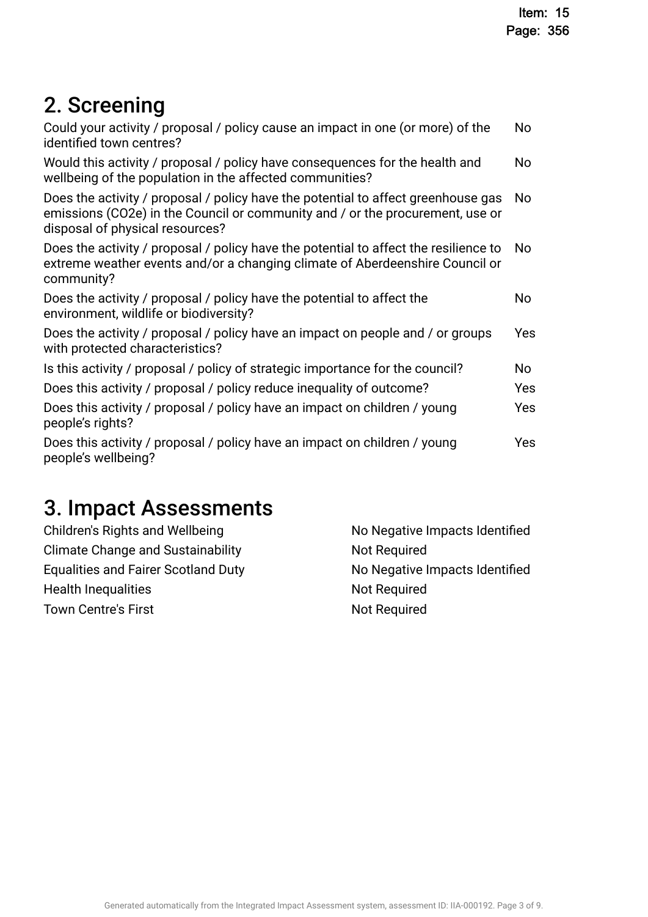# 2. Screening

| Could your activity / proposal / policy cause an impact in one (or more) of the<br>identified town centres?                                                                                           | No  |
|-------------------------------------------------------------------------------------------------------------------------------------------------------------------------------------------------------|-----|
| Would this activity / proposal / policy have consequences for the health and<br>wellbeing of the population in the affected communities?                                                              | No  |
| Does the activity / proposal / policy have the potential to affect greenhouse gas<br>emissions (CO2e) in the Council or community and / or the procurement, use or<br>disposal of physical resources? | No. |
| Does the activity / proposal / policy have the potential to affect the resilience to<br>extreme weather events and/or a changing climate of Aberdeenshire Council or<br>community?                    | No. |
| Does the activity / proposal / policy have the potential to affect the<br>environment, wildlife or biodiversity?                                                                                      | No  |
| Does the activity / proposal / policy have an impact on people and / or groups<br>with protected characteristics?                                                                                     | Yes |
| Is this activity / proposal / policy of strategic importance for the council?                                                                                                                         | No  |
| Does this activity / proposal / policy reduce inequality of outcome?                                                                                                                                  | Yes |
| Does this activity / proposal / policy have an impact on children / young<br>people's rights?                                                                                                         | Yes |
| Does this activity / proposal / policy have an impact on children / young<br>people's wellbeing?                                                                                                      | Yes |
|                                                                                                                                                                                                       |     |

# 3. Impact Assessments

| Children's Rights and Wellbeing            | No Negative Impacts Identified |
|--------------------------------------------|--------------------------------|
| <b>Climate Change and Sustainability</b>   | Not Required                   |
| <b>Equalities and Fairer Scotland Duty</b> | No Negative Impacts Identified |
| <b>Health Inequalities</b>                 | <b>Not Required</b>            |
| <b>Town Centre's First</b>                 | Not Required                   |
|                                            |                                |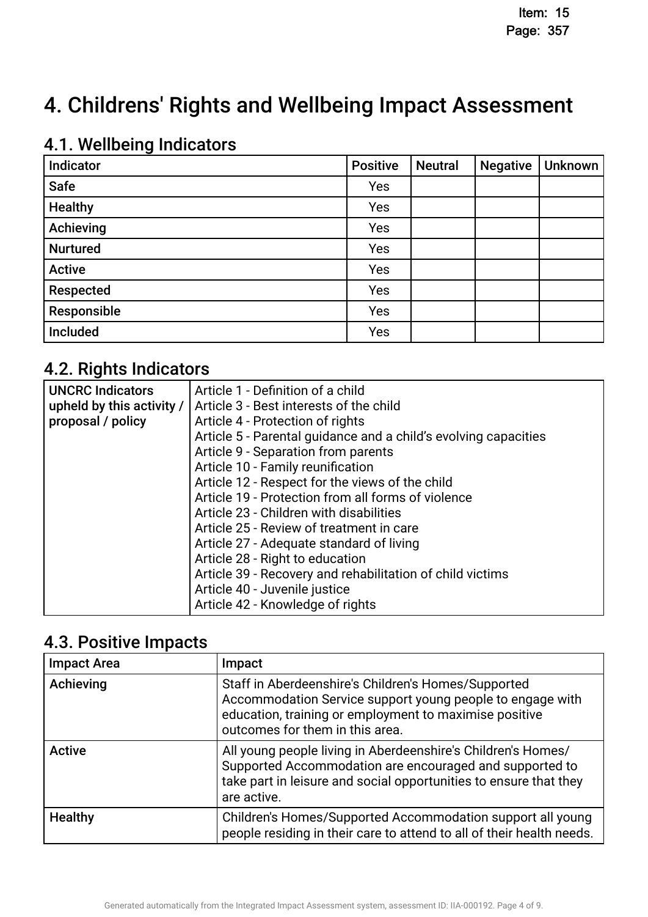# 4. Childrens' Rights and Wellbeing Impact Assessment

# 4.1. Wellbeing Indicators

| Indicator       | <b>Positive</b> | <b>Neutral</b> | <b>Negative</b> | Unknown |
|-----------------|-----------------|----------------|-----------------|---------|
| <b>Safe</b>     | Yes             |                |                 |         |
| <b>Healthy</b>  | Yes             |                |                 |         |
| Achieving       | Yes             |                |                 |         |
| <b>Nurtured</b> | Yes             |                |                 |         |
| <b>Active</b>   | Yes             |                |                 |         |
| Respected       | Yes             |                |                 |         |
| Responsible     | Yes             |                |                 |         |
| Included        | Yes             |                |                 |         |

# 4.2. Rights Indicators

| <b>UNCRC Indicators</b>   | Article 1 - Definition of a child                               |
|---------------------------|-----------------------------------------------------------------|
| upheld by this activity / | Article 3 - Best interests of the child                         |
| proposal / policy         | Article 4 - Protection of rights                                |
|                           | Article 5 - Parental guidance and a child's evolving capacities |
|                           | Article 9 - Separation from parents                             |
|                           | Article 10 - Family reunification                               |
|                           | Article 12 - Respect for the views of the child                 |
|                           | Article 19 - Protection from all forms of violence              |
|                           | Article 23 - Children with disabilities                         |
|                           | Article 25 - Review of treatment in care                        |
|                           | Article 27 - Adequate standard of living                        |
|                           | Article 28 - Right to education                                 |
|                           | Article 39 - Recovery and rehabilitation of child victims       |
|                           | Article 40 - Juvenile justice                                   |
|                           | Article 42 - Knowledge of rights                                |

## 4.3. Positive Impacts

| <b>Impact Area</b> | Impact                                                                                                                                                                                                        |
|--------------------|---------------------------------------------------------------------------------------------------------------------------------------------------------------------------------------------------------------|
| Achieving          | Staff in Aberdeenshire's Children's Homes/Supported<br>Accommodation Service support young people to engage with<br>education, training or employment to maximise positive<br>outcomes for them in this area. |
| <b>Active</b>      | All young people living in Aberdeenshire's Children's Homes/<br>Supported Accommodation are encouraged and supported to<br>take part in leisure and social opportunities to ensure that they<br>are active.   |
| <b>Healthy</b>     | Children's Homes/Supported Accommodation support all young<br>people residing in their care to attend to all of their health needs.                                                                           |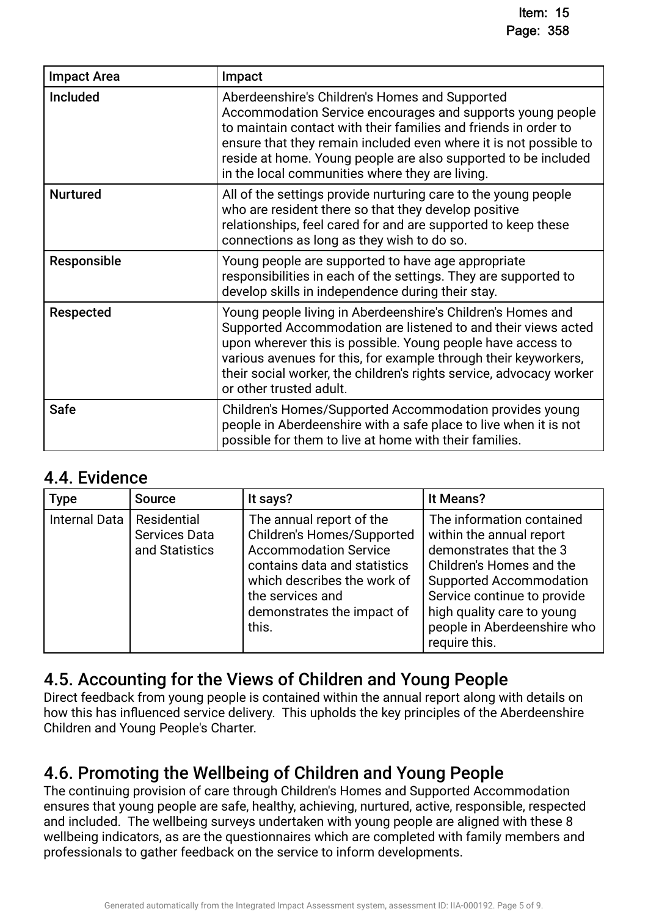| <b>Impact Area</b> | Impact                                                                                                                                                                                                                                                                                                                                                                    |
|--------------------|---------------------------------------------------------------------------------------------------------------------------------------------------------------------------------------------------------------------------------------------------------------------------------------------------------------------------------------------------------------------------|
| <b>Included</b>    | Aberdeenshire's Children's Homes and Supported<br>Accommodation Service encourages and supports young people<br>to maintain contact with their families and friends in order to<br>ensure that they remain included even where it is not possible to<br>reside at home. Young people are also supported to be included<br>in the local communities where they are living. |
| <b>Nurtured</b>    | All of the settings provide nurturing care to the young people<br>who are resident there so that they develop positive<br>relationships, feel cared for and are supported to keep these<br>connections as long as they wish to do so.                                                                                                                                     |
| Responsible        | Young people are supported to have age appropriate<br>responsibilities in each of the settings. They are supported to<br>develop skills in independence during their stay.                                                                                                                                                                                                |
| <b>Respected</b>   | Young people living in Aberdeenshire's Children's Homes and<br>Supported Accommodation are listened to and their views acted<br>upon wherever this is possible. Young people have access to<br>various avenues for this, for example through their keyworkers,<br>their social worker, the children's rights service, advocacy worker<br>or other trusted adult.          |
| <b>Safe</b>        | Children's Homes/Supported Accommodation provides young<br>people in Aberdeenshire with a safe place to live when it is not<br>possible for them to live at home with their families.                                                                                                                                                                                     |

## 4.4. Evidence

| <b>Type</b>          | <b>Source</b>                                         | It says?                                                                                                                                                                                                                | It Means?                                                                                                                                                                                                                                                   |
|----------------------|-------------------------------------------------------|-------------------------------------------------------------------------------------------------------------------------------------------------------------------------------------------------------------------------|-------------------------------------------------------------------------------------------------------------------------------------------------------------------------------------------------------------------------------------------------------------|
| <b>Internal Data</b> | Residential<br><b>Services Data</b><br>and Statistics | The annual report of the<br><b>Children's Homes/Supported</b><br><b>Accommodation Service</b><br>contains data and statistics<br>which describes the work of<br>the services and<br>demonstrates the impact of<br>this. | The information contained<br>within the annual report<br>demonstrates that the 3<br>Children's Homes and the<br><b>Supported Accommodation</b><br>Service continue to provide<br>high quality care to young<br>people in Aberdeenshire who<br>require this. |

## 4.5. Accounting for the Views of Children and Young People.

Direct feedback from young people is contained within the annual report along with details on how this has infuenced service delivery. This upholds the key principles of the Aberdeenshire Children and Young People's Charter.

# 4.6. Promoting the Wellbeing of Children and Young People.

The continuing provision of care through Children's Homes and Supported Accommodation ensures that young people are safe, healthy, achieving, nurtured, active, responsible, respected and included. The wellbeing surveys undertaken with young people are aligned with these 8 wellbeing indicators, as are the questionnaires which are completed with family members and professionals to gather feedback on the service to inform developments.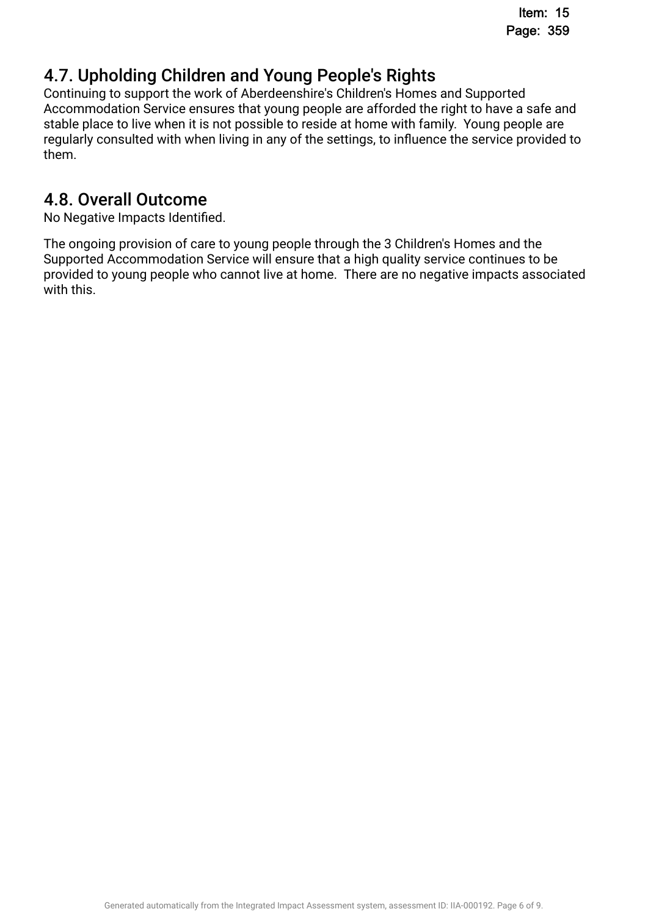# 4.7. Upholding Children and Young People's Rights.

Continuing to support the work of Aberdeenshire's Children's Homes and Supported Accommodation Service ensures that young people are afforded the right to have a safe and stable place to live when it is not possible to reside at home with family. Young people are regularly consulted with when living in any of the settings, to infuence the service provided to them.

# 4.8. Overall Outcome.

No Negative Impacts Identifed.

The ongoing provision of care to young people through the 3 Children's Homes and the Supported Accommodation Service will ensure that a high quality service continues to be provided to young people who cannot live at home. There are no negative impacts associated with this.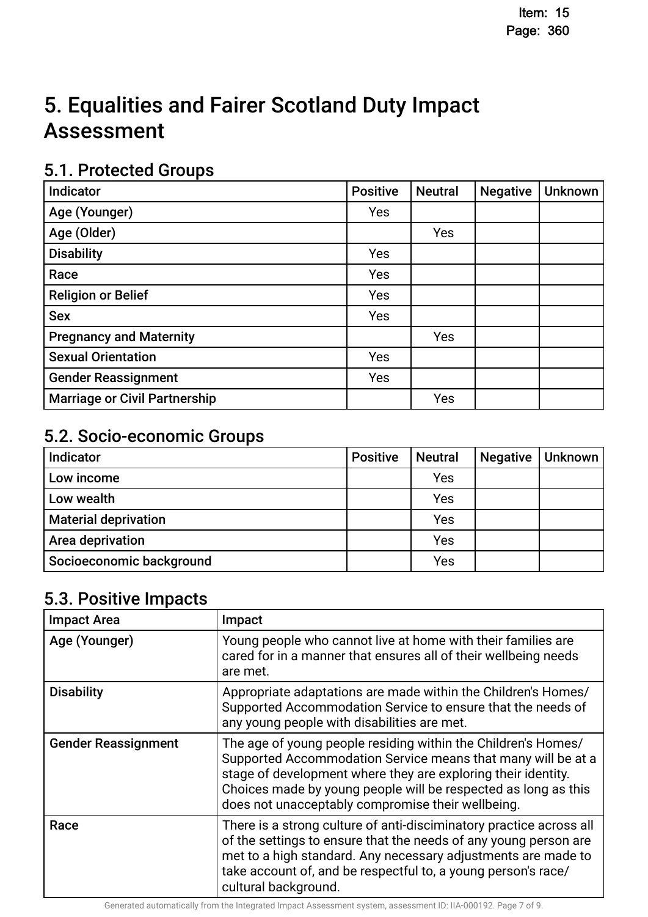# 5. Equalities and Fairer Scotland Duty Impact **Assessment**

## 5.1. Protected Groups

| <b>Indicator</b>                     | <b>Positive</b> | <b>Neutral</b> | <b>Negative</b> | <b>Unknown</b> |
|--------------------------------------|-----------------|----------------|-----------------|----------------|
| Age (Younger)                        | Yes             |                |                 |                |
| Age (Older)                          |                 | Yes            |                 |                |
| <b>Disability</b>                    | Yes             |                |                 |                |
| Race                                 | Yes             |                |                 |                |
| <b>Religion or Belief</b>            | Yes             |                |                 |                |
| <b>Sex</b>                           | Yes             |                |                 |                |
| <b>Pregnancy and Maternity</b>       |                 | Yes            |                 |                |
| <b>Sexual Orientation</b>            | Yes             |                |                 |                |
| <b>Gender Reassignment</b>           | Yes             |                |                 |                |
| <b>Marriage or Civil Partnership</b> |                 | Yes            |                 |                |

## 5.2. Socio-economic Groups

| Indicator                   | <b>Positive</b> | <b>Neutral</b> | <b>Negative</b> | Unknown |
|-----------------------------|-----------------|----------------|-----------------|---------|
| Low income                  |                 | Yes            |                 |         |
| Low wealth                  |                 | Yes            |                 |         |
| <b>Material deprivation</b> |                 | Yes            |                 |         |
| Area deprivation            |                 | Yes            |                 |         |
| Socioeconomic background    |                 | Yes            |                 |         |

## 5.3. Positive Impacts

| <b>Impact Area</b>         | Impact                                                                                                                                                                                                                                                                                                                |
|----------------------------|-----------------------------------------------------------------------------------------------------------------------------------------------------------------------------------------------------------------------------------------------------------------------------------------------------------------------|
| Age (Younger)              | Young people who cannot live at home with their families are<br>cared for in a manner that ensures all of their wellbeing needs<br>are met.                                                                                                                                                                           |
| <b>Disability</b>          | Appropriate adaptations are made within the Children's Homes/<br>Supported Accommodation Service to ensure that the needs of<br>any young people with disabilities are met.                                                                                                                                           |
| <b>Gender Reassignment</b> | The age of young people residing within the Children's Homes/<br>Supported Accommodation Service means that many will be at a<br>stage of development where they are exploring their identity.<br>Choices made by young people will be respected as long as this<br>does not unacceptably compromise their wellbeing. |
| Race                       | There is a strong culture of anti-disciminatory practice across all<br>of the settings to ensure that the needs of any young person are<br>met to a high standard. Any necessary adjustments are made to<br>take account of, and be respectful to, a young person's race/<br>cultural background.                     |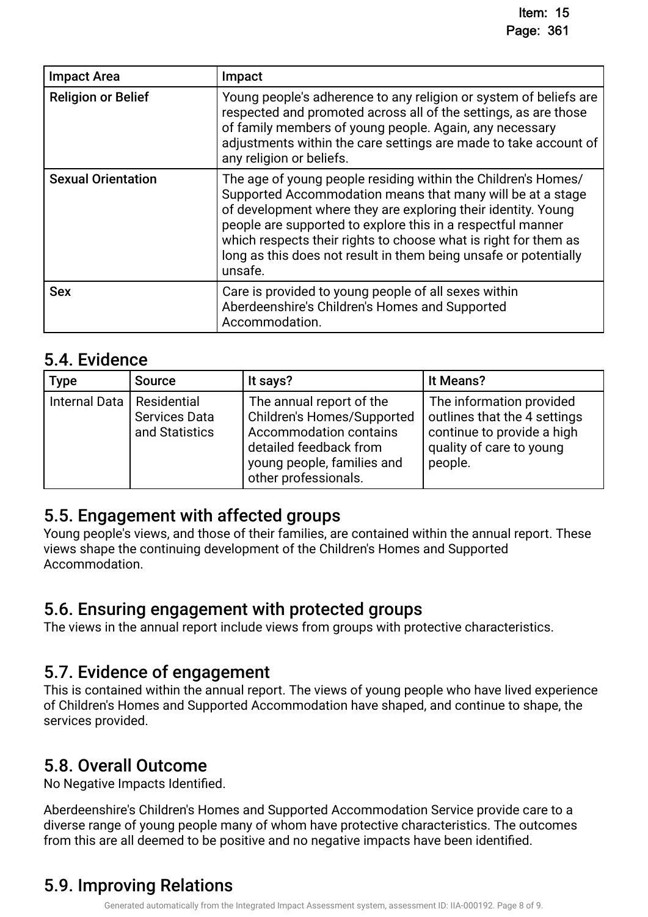| <b>Impact Area</b>        | Impact                                                                                                                                                                                                                                                                                                                                                                                                        |
|---------------------------|---------------------------------------------------------------------------------------------------------------------------------------------------------------------------------------------------------------------------------------------------------------------------------------------------------------------------------------------------------------------------------------------------------------|
| <b>Religion or Belief</b> | Young people's adherence to any religion or system of beliefs are<br>respected and promoted across all of the settings, as are those<br>of family members of young people. Again, any necessary<br>adjustments within the care settings are made to take account of<br>any religion or beliefs.                                                                                                               |
| <b>Sexual Orientation</b> | The age of young people residing within the Children's Homes/<br>Supported Accommodation means that many will be at a stage<br>of development where they are exploring their identity. Young<br>people are supported to explore this in a respectful manner<br>which respects their rights to choose what is right for them as<br>long as this does not result in them being unsafe or potentially<br>unsafe. |
| <b>Sex</b>                | Care is provided to young people of all sexes within<br>Aberdeenshire's Children's Homes and Supported<br>Accommodation.                                                                                                                                                                                                                                                                                      |

## 5.4. Evidence

| <b>Type</b>                 | <b>Source</b>                   | It says?                                                                                                                                                                | It Means?                                                                                                                     |
|-----------------------------|---------------------------------|-------------------------------------------------------------------------------------------------------------------------------------------------------------------------|-------------------------------------------------------------------------------------------------------------------------------|
| Internal Data   Residential | Services Data<br>and Statistics | The annual report of the<br><b>Children's Homes/Supported</b><br>Accommodation contains<br>detailed feedback from<br>young people, families and<br>other professionals. | The information provided<br>outlines that the 4 settings<br>continue to provide a high<br>quality of care to young<br>people. |

## 5.5. Engagement with affected groups.

Young people's views, and those of their families, are contained within the annual report. These views shape the continuing development of the Children's Homes and Supported Accommodation.

## 5.6. Ensuring engagement with protected groups.

The views in the annual report include views from groups with protective characteristics.

# 5.7. Evidence of engagement.

This is contained within the annual report. The views of young people who have lived experience of Children's Homes and Supported Accommodation have shaped, and continue to shape, the services provided.

## 5.8. Overall Outcome.

No Negative Impacts Identifed.

Aberdeenshire's Children's Homes and Supported Accommodation Service provide care to a diverse range of young people many of whom have protective characteristics. The outcomes from this are all deemed to be positive and no negative impacts have been identifed.

# 5.9. Improving Relations